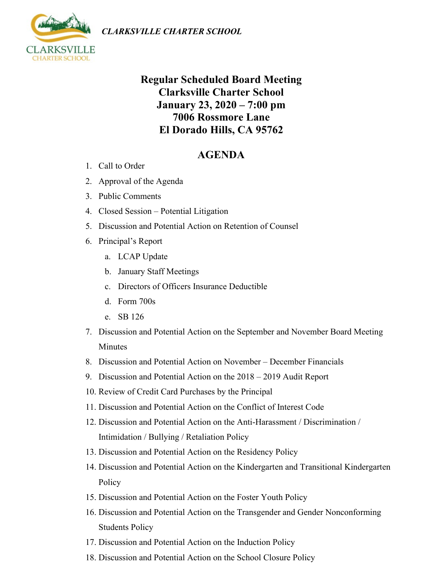*CLARKSVILLE CHARTER SCHOOL*



## **Regular Scheduled Board Meeting Clarksville Charter School January 23, 2020 – 7:00 pm 7006 Rossmore Lane El Dorado Hills, CA 95762**

## **AGENDA**

- 1. Call to Order
- 2. Approval of the Agenda
- 3. Public Comments
- 4. Closed Session Potential Litigation
- 5. Discussion and Potential Action on Retention of Counsel
- 6. Principal's Report
	- a. LCAP Update
	- b. January Staff Meetings
	- c. Directors of Officers Insurance Deductible
	- d. Form 700s
	- e. SB 126
- 7. Discussion and Potential Action on the September and November Board Meeting Minutes
- 8. Discussion and Potential Action on November December Financials
- 9. Discussion and Potential Action on the 2018 2019 Audit Report
- 10. Review of Credit Card Purchases by the Principal
- 11. Discussion and Potential Action on the Conflict of Interest Code
- 12. Discussion and Potential Action on the Anti-Harassment / Discrimination / Intimidation / Bullying / Retaliation Policy
- 13. Discussion and Potential Action on the Residency Policy
- 14. Discussion and Potential Action on the Kindergarten and Transitional Kindergarten Policy
- 15. Discussion and Potential Action on the Foster Youth Policy
- 16. Discussion and Potential Action on the Transgender and Gender Nonconforming Students Policy
- 17. Discussion and Potential Action on the Induction Policy
- 18. Discussion and Potential Action on the School Closure Policy